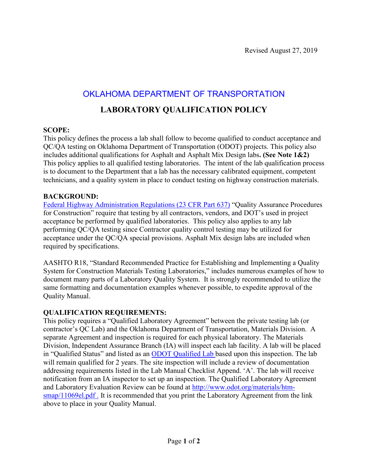# OKLAHOMA DEPARTMENT OF TRANSPORTATION

### **LABORATORY QUALIFICATION POLICY**

#### **SCOPE:**

This policy defines the process a lab shall follow to become qualified to conduct acceptance and QC/QA testing on Oklahoma Department of Transportation (ODOT) projects. This policy also includes additional qualifications for Asphalt and Asphalt Mix Design labs**. (See Note 1&2)** This policy applies to all qualified testing laboratories. The intent of the lab qualification process is to document to the Department that a lab has the necessary calibrated equipment, competent technicians, and a quality system in place to conduct testing on highway construction materials.

#### **BACKGROUND:**

[Federal Highway Administration Regulations \(23 CFR Part 637\)](http://www.gpo.gov/fdsys/pkg/CFR-2001-title23-vol1/pdf/CFR-2001-title23-vol1.pdf) "Quality Assurance Procedures for Construction" require that testing by all contractors, vendors, and DOT's used in project acceptance be performed by qualified laboratories. This policy also applies to any lab performing QC/QA testing since Contractor quality control testing may be utilized for acceptance under the QC/QA special provisions. Asphalt Mix design labs are included when required by specifications.

AASHTO R18, "Standard Recommended Practice for Establishing and Implementing a Quality System for Construction Materials Testing Laboratories," includes numerous examples of how to document many parts of a Laboratory Quality System. It is strongly recommended to utilize the same formatting and documentation examples whenever possible, to expedite approval of the Quality Manual.

### **QUALIFICATION REQUIREMENTS:**

This policy requires a "Qualified Laboratory Agreement" between the private testing lab (or contractor's QC Lab) and the Oklahoma Department of Transportation, Materials Division. A separate Agreement and inspection is required for each physical laboratory. The Materials Division, Independent Assurance Branch (IA) will inspect each lab facility. A lab will be placed in "Qualified Status" and listed as an [ODOT Qualified Lab](http://crystalweb.odot.ok.gov/report/viewer.aspx?reportpath=public/Materials_Division/11069.rpt&password=APEX) based upon this inspection. The lab will remain qualified for 2 years. The site inspection will include a review of documentation addressing requirements listed in the Lab Manual Checklist Append. 'A'. The lab will receive notification from an IA inspector to set up an inspection. The Qualified Laboratory Agreement and Laboratory Evaluation Review can be found at [http://www.odot.org/materials/htm](http://www.odot.org/materials/htm-smap/11069el.pdf%20.)smap/11069el.pdf. It is recommended that you print the Laboratory Agreement from the link above to place in your Quality Manual.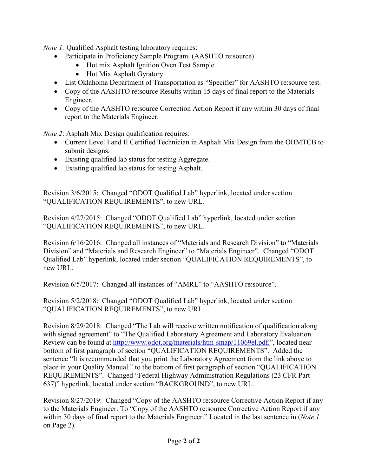*Note 1:* Qualified Asphalt testing laboratory requires:

- Participate in Proficiency Sample Program. (AASHTO re:source)
	- Hot mix Asphalt Ignition Oven Test Sample
	- Hot Mix Asphalt Gyratory
- List Oklahoma Department of Transportation as "Specifier" for AASHTO re:source test.
- Copy of the AASHTO re:source Results within 15 days of final report to the Materials Engineer.
- Copy of the AASHTO re: source Correction Action Report if any within 30 days of final report to the Materials Engineer.

*Note 2*: Asphalt Mix Design qualification requires:

- Current Level I and II Certified Technician in Asphalt Mix Design from the OHMTCB to submit designs.
- Existing qualified lab status for testing Aggregate.
- Existing qualified lab status for testing Asphalt.

Revision 3/6/2015: Changed "ODOT Qualified Lab" hyperlink, located under section "QUALIFICATION REQUIREMENTS", to new URL.

Revision 4/27/2015: Changed "ODOT Qualified Lab" hyperlink, located under section "QUALIFICATION REQUIREMENTS", to new URL.

Revision 6/16/2016: Changed all instances of "Materials and Research Division" to "Materials Division" and "Materials and Research Engineer" to "Materials Engineer". Changed "ODOT Qualified Lab" hyperlink, located under section "QUALIFICATION REQUIREMENTS", to new URL.

Revision 6/5/2017: Changed all instances of "AMRL" to "AASHTO re:source".

Revision 5/2/2018: Changed "ODOT Qualified Lab" hyperlink, located under section "QUALIFICATION REQUIREMENTS", to new URL.

Revision 8/29/2018: Changed "The Lab will receive written notification of qualification along with signed agreement" to "The Qualified Laboratory Agreement and Laboratory Evaluation Review can be found at [http://www.odot.org/materials/htm-smap/11069el.pdf."](http://www.odot.org/materials/htm-smap/11069el.pdf.), located near bottom of first paragraph of section "QUALIFICATION REQUIREMENTS". Added the sentence "It is recommended that you print the Laboratory Agreement from the link above to place in your Quality Manual." to the bottom of first paragraph of section "QUALIFICATION REQUIREMENTS". Changed "Federal Highway Administration Regulations (23 CFR Part 637)" hyperlink, located under section "BACKGROUND", to new URL.

Revision 8/27/2019: Changed "Copy of the AASHTO re:source Corrective Action Report if any to the Materials Engineer. To "Copy of the AASHTO re:source Corrective Action Report if any within 30 days of final report to the Materials Engineer." Located in the last sentence in (*Note 1*  on Page 2).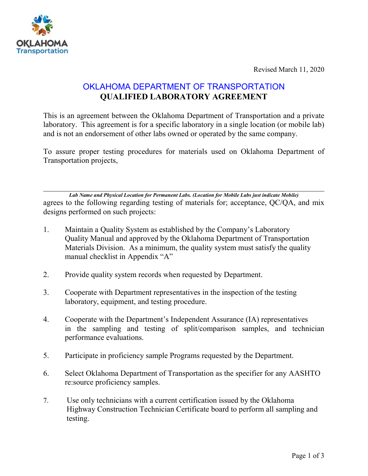

Revised March 11, 2020

## OKLAHOMA DEPARTMENT OF TRANSPORTATION **QUALIFIED LABORATORY AGREEMENT**

This is an agreement between the Oklahoma Department of Transportation and a private laboratory. This agreement is for a specific laboratory in a single location (or mobile lab) and is not an endorsement of other labs owned or operated by the same company.

To assure proper testing procedures for materials used on Oklahoma Department of Transportation projects,

 $\_$  , and the contribution of the contribution of  $\mathcal{L}_1$  , and  $\mathcal{L}_2$  , and  $\mathcal{L}_3$  , and  $\mathcal{L}_4$  , and  $\mathcal{L}_5$ *Lab Name and Physical Location for Permanent Labs. (Location for Mobile Labs just indicate Mobile)* agrees to the following regarding testing of materials for; acceptance, QC/QA, and mix designs performed on such projects:

- 1. Maintain a Quality System as established by the Company's Laboratory Quality Manual and approved by the Oklahoma Department of Transportation Materials Division. As a minimum, the quality system must satisfy the quality manual checklist in Appendix "A"
- 2. Provide quality system records when requested by Department.
- 3. Cooperate with Department representatives in the inspection of the testing laboratory, equipment, and testing procedure.
- 4. Cooperate with the Department's Independent Assurance (IA) representatives in the sampling and testing of split/comparison samples, and technician performance evaluations.
- 5. Participate in proficiency sample Programs requested by the Department.
- 6. Select Oklahoma Department of Transportation as the specifier for any AASHTO re:source proficiency samples.
- 7. Use only technicians with a current certification issued by the Oklahoma Highway Construction Technician Certificate board to perform all sampling and testing.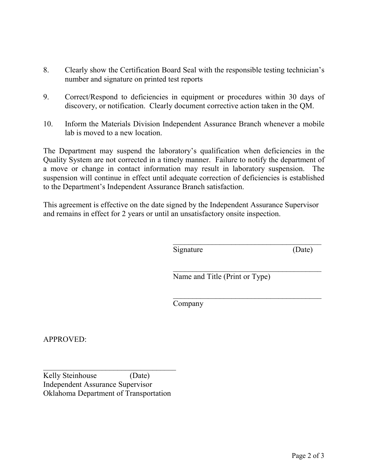- 8. Clearly show the Certification Board Seal with the responsible testing technician's number and signature on printed test reports
- 9. Correct/Respond to deficiencies in equipment or procedures within 30 days of discovery, or notification. Clearly document corrective action taken in the QM.
- 10. Inform the Materials Division Independent Assurance Branch whenever a mobile lab is moved to a new location.

The Department may suspend the laboratory's qualification when deficiencies in the Quality System are not corrected in a timely manner. Failure to notify the department of a move or change in contact information may result in laboratory suspension. The suspension will continue in effect until adequate correction of deficiencies is established to the Department's Independent Assurance Branch satisfaction.

This agreement is effective on the date signed by the Independent Assurance Supervisor and remains in effect for 2 years or until an unsatisfactory onsite inspection.

> $\frac{1}{2}$  ,  $\frac{1}{2}$  ,  $\frac{1}{2}$  ,  $\frac{1}{2}$  ,  $\frac{1}{2}$  ,  $\frac{1}{2}$  ,  $\frac{1}{2}$  ,  $\frac{1}{2}$  ,  $\frac{1}{2}$  ,  $\frac{1}{2}$  ,  $\frac{1}{2}$  ,  $\frac{1}{2}$  ,  $\frac{1}{2}$  ,  $\frac{1}{2}$  ,  $\frac{1}{2}$  ,  $\frac{1}{2}$  ,  $\frac{1}{2}$  ,  $\frac{1}{2}$  ,  $\frac{1$ Signature (Date)

 $\mathcal{L}_\text{max}$  and  $\mathcal{L}_\text{max}$  and  $\mathcal{L}_\text{max}$  and  $\mathcal{L}_\text{max}$ Name and Title (Print or Type)

 $\frac{1}{2}$  ,  $\frac{1}{2}$  ,  $\frac{1}{2}$  ,  $\frac{1}{2}$  ,  $\frac{1}{2}$  ,  $\frac{1}{2}$  ,  $\frac{1}{2}$  ,  $\frac{1}{2}$  ,  $\frac{1}{2}$  ,  $\frac{1}{2}$  ,  $\frac{1}{2}$  ,  $\frac{1}{2}$  ,  $\frac{1}{2}$  ,  $\frac{1}{2}$  ,  $\frac{1}{2}$  ,  $\frac{1}{2}$  ,  $\frac{1}{2}$  ,  $\frac{1}{2}$  ,  $\frac{1$ 

Company

APPROVED:

Kelly Steinhouse (Date) Independent Assurance Supervisor Oklahoma Department of Transportation

\_\_\_\_\_\_\_\_\_\_\_\_\_\_\_\_\_\_\_\_\_\_\_\_\_\_\_\_\_\_\_\_\_\_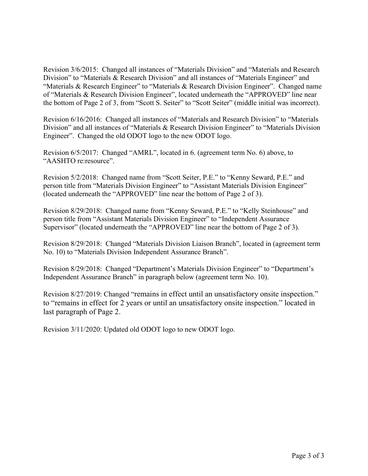Revision 3/6/2015: Changed all instances of "Materials Division" and "Materials and Research Division" to "Materials & Research Division" and all instances of "Materials Engineer" and "Materials & Research Engineer" to "Materials & Research Division Engineer". Changed name of "Materials & Research Division Engineer", located underneath the "APPROVED" line near the bottom of Page 2 of 3, from "Scott S. Seiter" to "Scott Seiter" (middle initial was incorrect).

Revision 6/16/2016: Changed all instances of "Materials and Research Division" to "Materials Division" and all instances of "Materials & Research Division Engineer" to "Materials Division Engineer". Changed the old ODOT logo to the new ODOT logo.

Revision 6/5/2017: Changed "AMRL", located in 6. (agreement term No. 6) above, to "AASHTO re:resource".

Revision 5/2/2018: Changed name from "Scott Seiter, P.E." to "Kenny Seward, P.E." and person title from "Materials Division Engineer" to "Assistant Materials Division Engineer" (located underneath the "APPROVED" line near the bottom of Page 2 of 3).

Revision 8/29/2018: Changed name from "Kenny Seward, P.E." to "Kelly Steinhouse" and person title from "Assistant Materials Division Engineer" to "Independent Assurance Supervisor" (located underneath the "APPROVED" line near the bottom of Page 2 of 3).

Revision 8/29/2018: Changed "Materials Division Liaison Branch", located in (agreement term No. 10) to "Materials Division Independent Assurance Branch".

Revision 8/29/2018: Changed "Department's Materials Division Engineer" to "Department's Independent Assurance Branch" in paragraph below (agreement term No. 10).

Revision 8/27/2019: Changed "remains in effect until an unsatisfactory onsite inspection." to "remains in effect for 2 years or until an unsatisfactory onsite inspection." located in last paragraph of Page 2.

Revision 3/11/2020: Updated old ODOT logo to new ODOT logo.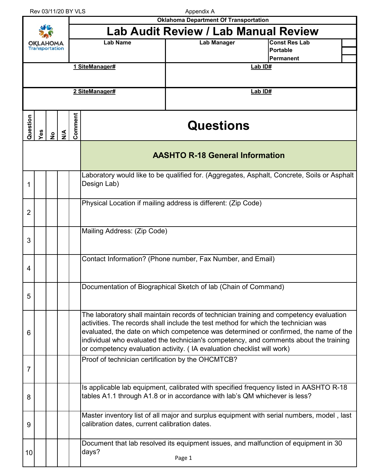Rev 03/11/20 BY VLS

Appendix A

|                       |     |                                                            |        |         |                                                                                                                                                                                                                                                                                                                                                                                                                                         | <b>Oklahoma Department Of Transportation</b>                                                  |                                                                                             |  |  |  |
|-----------------------|-----|------------------------------------------------------------|--------|---------|-----------------------------------------------------------------------------------------------------------------------------------------------------------------------------------------------------------------------------------------------------------------------------------------------------------------------------------------------------------------------------------------------------------------------------------------|-----------------------------------------------------------------------------------------------|---------------------------------------------------------------------------------------------|--|--|--|
| <b>Transportation</b> |     |                                                            |        |         |                                                                                                                                                                                                                                                                                                                                                                                                                                         | <b>Lab Audit Review / Lab Manual Review</b>                                                   |                                                                                             |  |  |  |
|                       |     |                                                            |        |         | <b>Lab Name</b>                                                                                                                                                                                                                                                                                                                                                                                                                         | <b>Lab Manager</b>                                                                            | <b>Const Res Lab</b>                                                                        |  |  |  |
|                       |     |                                                            |        |         |                                                                                                                                                                                                                                                                                                                                                                                                                                         |                                                                                               | <b>Portable</b><br><b>Permanent</b>                                                         |  |  |  |
|                       |     |                                                            |        |         | 1 SiteManager#                                                                                                                                                                                                                                                                                                                                                                                                                          |                                                                                               | Lab ID#                                                                                     |  |  |  |
|                       |     |                                                            |        |         |                                                                                                                                                                                                                                                                                                                                                                                                                                         |                                                                                               |                                                                                             |  |  |  |
|                       |     |                                                            |        |         | 2 SiteManager#                                                                                                                                                                                                                                                                                                                                                                                                                          |                                                                                               | Lab ID#                                                                                     |  |  |  |
|                       |     |                                                            |        |         |                                                                                                                                                                                                                                                                                                                                                                                                                                         |                                                                                               |                                                                                             |  |  |  |
| Question              | Yes | $\frac{1}{2}$                                              | $\leq$ | Comment |                                                                                                                                                                                                                                                                                                                                                                                                                                         | <b>Questions</b>                                                                              |                                                                                             |  |  |  |
|                       |     |                                                            |        |         |                                                                                                                                                                                                                                                                                                                                                                                                                                         | <b>AASHTO R-18 General Information</b>                                                        |                                                                                             |  |  |  |
| 1                     |     |                                                            |        |         | Design Lab)                                                                                                                                                                                                                                                                                                                                                                                                                             |                                                                                               | Laboratory would like to be qualified for. (Aggregates, Asphalt, Concrete, Soils or Asphalt |  |  |  |
| 2                     |     |                                                            |        |         |                                                                                                                                                                                                                                                                                                                                                                                                                                         | Physical Location if mailing address is different: (Zip Code)                                 |                                                                                             |  |  |  |
| 3                     |     |                                                            |        |         | Mailing Address: (Zip Code)                                                                                                                                                                                                                                                                                                                                                                                                             |                                                                                               |                                                                                             |  |  |  |
| 4                     |     | Contact Information? (Phone number, Fax Number, and Email) |        |         |                                                                                                                                                                                                                                                                                                                                                                                                                                         |                                                                                               |                                                                                             |  |  |  |
| 5                     |     |                                                            |        |         | Documentation of Biographical Sketch of lab (Chain of Command)                                                                                                                                                                                                                                                                                                                                                                          |                                                                                               |                                                                                             |  |  |  |
| 6                     |     |                                                            |        |         | The laboratory shall maintain records of technician training and competency evaluation<br>activities. The records shall include the test method for which the technician was<br>evaluated, the date on which competence was determined or confirmed, the name of the<br>individual who evaluated the technician's competency, and comments about the training<br>or competency evaluation activity. (IA evaluation checklist will work) |                                                                                               |                                                                                             |  |  |  |
| 7                     |     | Proof of technician certification by the OHCMTCB?          |        |         |                                                                                                                                                                                                                                                                                                                                                                                                                                         |                                                                                               |                                                                                             |  |  |  |
| 8                     |     |                                                            |        |         | Is applicable lab equipment, calibrated with specified frequency listed in AASHTO R-18<br>tables A1.1 through A1.8 or in accordance with lab's QM whichever is less?                                                                                                                                                                                                                                                                    |                                                                                               |                                                                                             |  |  |  |
| 9                     |     |                                                            |        |         | Master inventory list of all major and surplus equipment with serial numbers, model, last<br>calibration dates, current calibration dates.                                                                                                                                                                                                                                                                                              |                                                                                               |                                                                                             |  |  |  |
| 10                    |     |                                                            |        |         | days?                                                                                                                                                                                                                                                                                                                                                                                                                                   | Document that lab resolved its equipment issues, and malfunction of equipment in 30<br>Page 1 |                                                                                             |  |  |  |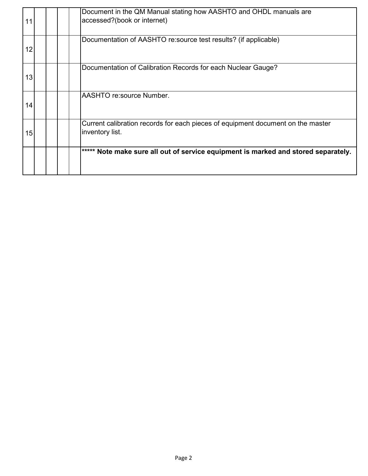| 11 |  | Document in the QM Manual stating how AASHTO and OHDL manuals are<br>accessed?(book or internet)   |
|----|--|----------------------------------------------------------------------------------------------------|
| 12 |  | Documentation of AASHTO re: source test results? (if applicable)                                   |
| 13 |  | Documentation of Calibration Records for each Nuclear Gauge?                                       |
| 14 |  | AASHTO re:source Number.                                                                           |
| 15 |  | Current calibration records for each pieces of equipment document on the master<br>inventory list. |
|    |  | ***** Note make sure all out of service equipment is marked and stored separately.                 |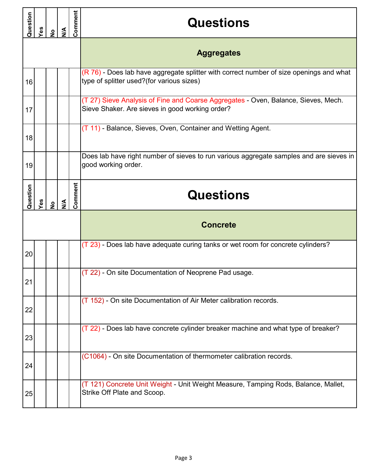| Question | Yes | $\frac{1}{2}$ | $\frac{4}{2}$ | Comment | <b>Questions</b>                                                                                                                      |  |  |  |                   |
|----------|-----|---------------|---------------|---------|---------------------------------------------------------------------------------------------------------------------------------------|--|--|--|-------------------|
|          |     |               |               |         |                                                                                                                                       |  |  |  | <b>Aggregates</b> |
| 16       |     |               |               |         | (R 76) - Does lab have aggregate splitter with correct number of size openings and what<br>type of splitter used?(for various sizes)  |  |  |  |                   |
| 17       |     |               |               |         | (T 27) Sieve Analysis of Fine and Coarse Aggregates - Oven, Balance, Sieves, Mech.<br>Sieve Shaker. Are sieves in good working order? |  |  |  |                   |
| 18       |     |               |               |         | (T 11) - Balance, Sieves, Oven, Container and Wetting Agent.                                                                          |  |  |  |                   |
| 19       |     |               |               |         | Does lab have right number of sieves to run various aggregate samples and are sieves in<br>good working order.                        |  |  |  |                   |
| Question | Yes | $\frac{1}{2}$ | $\frac{4}{5}$ | Comment | <b>Questions</b>                                                                                                                      |  |  |  |                   |
|          |     |               |               |         | <b>Concrete</b>                                                                                                                       |  |  |  |                   |
| 20       |     |               |               |         | (T 23) - Does lab have adequate curing tanks or wet room for concrete cylinders?                                                      |  |  |  |                   |
| 21       |     |               |               |         | (T 22) - On site Documentation of Neoprene Pad usage.                                                                                 |  |  |  |                   |
| 22       |     |               |               |         | (T 152) - On site Documentation of Air Meter calibration records.                                                                     |  |  |  |                   |
| 23       |     |               |               |         | (T 22) - Does lab have concrete cylinder breaker machine and what type of breaker?                                                    |  |  |  |                   |
| 24       |     |               |               |         | (C1064) - On site Documentation of thermometer calibration records.                                                                   |  |  |  |                   |
| 25       |     |               |               |         | (T 121) Concrete Unit Weight - Unit Weight Measure, Tamping Rods, Balance, Mallet,<br>Strike Off Plate and Scoop.                     |  |  |  |                   |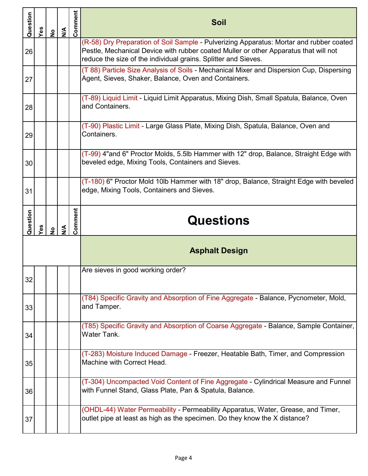| Question | Yes | $\frac{1}{2}$ | $\mathbb{S}$  | Comment | Soil                                                                                                                                                                                                                                              |  |  |
|----------|-----|---------------|---------------|---------|---------------------------------------------------------------------------------------------------------------------------------------------------------------------------------------------------------------------------------------------------|--|--|
| 26       |     |               |               |         | (R-58) Dry Preparation of Soil Sample - Pulverizing Apparatus: Mortar and rubber coated<br>Pestle, Mechanical Device with rubber coated Muller or other Apparatus that will not<br>reduce the size of the individual grains. Splitter and Sieves. |  |  |
| 27       |     |               |               |         | (T 88) Particle Size Analysis of Soils - Mechanical Mixer and Dispersion Cup, Dispersing<br>Agent, Sieves, Shaker, Balance, Oven and Containers.                                                                                                  |  |  |
| 28       |     |               |               |         | (T-89) Liquid Limit - Liquid Limit Apparatus, Mixing Dish, Small Spatula, Balance, Oven<br>and Containers.                                                                                                                                        |  |  |
| 29       |     |               |               |         | (T-90) Plastic Limit - Large Glass Plate, Mixing Dish, Spatula, Balance, Oven and<br>Containers.                                                                                                                                                  |  |  |
| 30       |     |               |               |         | (T-99) 4"and 6" Proctor Molds, 5.5lb Hammer with 12" drop, Balance, Straight Edge with<br>beveled edge, Mixing Tools, Containers and Sieves.                                                                                                      |  |  |
| 31       |     |               |               |         | (T-180) 6" Proctor Mold 10lb Hammer with 18" drop, Balance, Straight Edge with beveled<br>edge, Mixing Tools, Containers and Sieves.                                                                                                              |  |  |
| Question |     |               |               | Comment | <b>Questions</b>                                                                                                                                                                                                                                  |  |  |
|          | Yes | $\frac{1}{2}$ | $\frac{4}{2}$ |         |                                                                                                                                                                                                                                                   |  |  |
|          |     |               |               |         | <b>Asphalt Design</b>                                                                                                                                                                                                                             |  |  |
| 32       |     |               |               |         | Are sieves in good working order?                                                                                                                                                                                                                 |  |  |
| 33       |     |               |               |         | (T84) Specific Gravity and Absorption of Fine Aggregate - Balance, Pycnometer, Mold,<br>and Tamper.                                                                                                                                               |  |  |
| 34       |     |               |               |         | (T85) Specific Gravity and Absorption of Coarse Aggregate - Balance, Sample Container,<br>Water Tank.                                                                                                                                             |  |  |
| 35       |     |               |               |         | (T-283) Moisture Induced Damage - Freezer, Heatable Bath, Timer, and Compression<br>Machine with Correct Head.                                                                                                                                    |  |  |
| 36       |     |               |               |         | (T-304) Uncompacted Void Content of Fine Aggregate - Cylindrical Measure and Funnel<br>with Funnel Stand, Glass Plate, Pan & Spatula, Balance.                                                                                                    |  |  |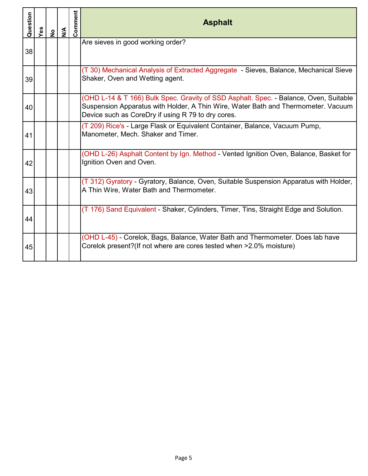| Question | Yes | $\frac{9}{2}$ | $\sum_{i=1}^{n}$ | Comment | <b>Asphalt</b>                                                                                                                                                                                                                   |  |
|----------|-----|---------------|------------------|---------|----------------------------------------------------------------------------------------------------------------------------------------------------------------------------------------------------------------------------------|--|
| 38       |     |               |                  |         | Are sieves in good working order?                                                                                                                                                                                                |  |
| 39       |     |               |                  |         | (T 30) Mechanical Analysis of Extracted Aggregate - Sieves, Balance, Mechanical Sieve<br>Shaker, Oven and Wetting agent.                                                                                                         |  |
| 40       |     |               |                  |         | (OHD L-14 & T 166) Bulk Spec. Gravity of SSD Asphalt. Spec. - Balance, Oven, Suitable<br>Suspension Apparatus with Holder, A Thin Wire, Water Bath and Thermometer. Vacuum<br>Device such as CoreDry if using R 79 to dry cores. |  |
| 41       |     |               |                  |         | (T 209) Rice's - Large Flask or Equivalent Container, Balance, Vacuum Pump,<br>Manometer, Mech. Shaker and Timer.                                                                                                                |  |
| 42       |     |               |                  |         | (OHD L-26) Asphalt Content by Ign. Method - Vented Ignition Oven, Balance, Basket for<br>Ignition Oven and Oven.                                                                                                                 |  |
| 43       |     |               |                  |         | (T 312) Gyratory - Gyratory, Balance, Oven, Suitable Suspension Apparatus with Holder,<br>A Thin Wire, Water Bath and Thermometer.                                                                                               |  |
| 44       |     |               |                  |         | (T 176) Sand Equivalent - Shaker, Cylinders, Timer, Tins, Straight Edge and Solution.                                                                                                                                            |  |
| 45       |     |               |                  |         | (OHD L-45) - Corelok, Bags, Balance, Water Bath and Thermometer. Does lab have<br>Corelok present? (If not where are cores tested when >2.0% moisture)                                                                           |  |